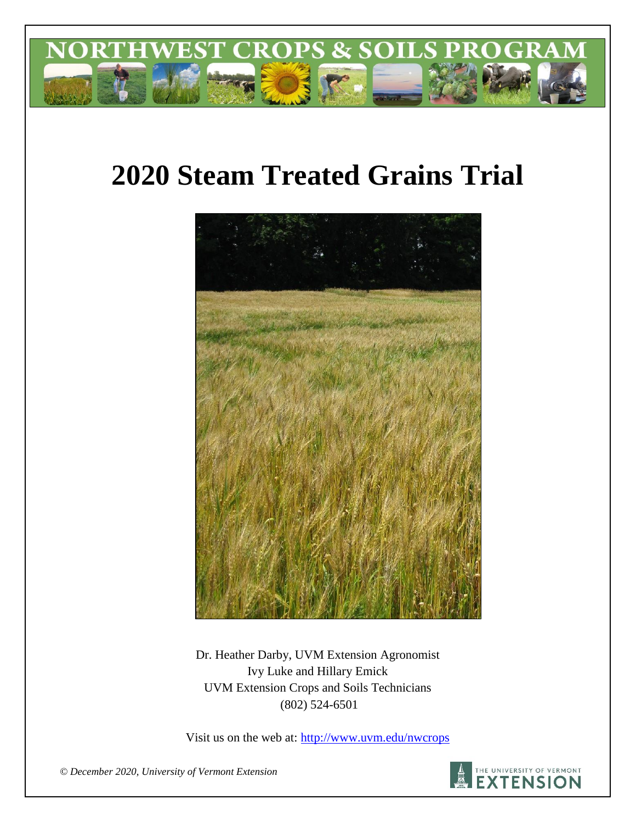

# **2020 Steam Treated Grains Trial**



Dr. Heather Darby, UVM Extension Agronomist Ivy Luke and Hillary Emick UVM Extension Crops and Soils Technicians (802) 524-6501

Visit us on the web at:<http://www.uvm.edu/nwcrops>



*© December 2020, University of Vermont Extension*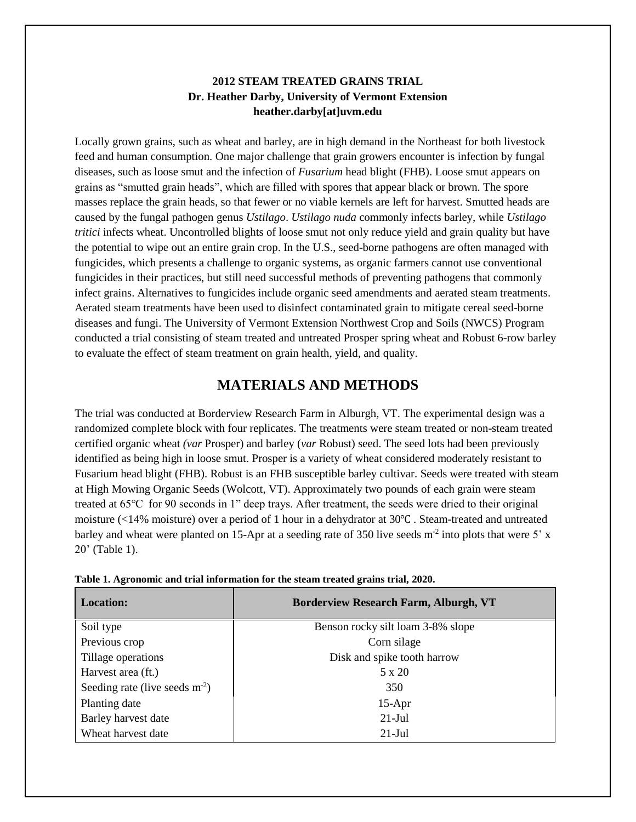## **2012 STEAM TREATED GRAINS TRIAL Dr. Heather Darby, University of Vermont Extension heather.darby[at]uvm.edu**

Locally grown grains, such as wheat and barley, are in high demand in the Northeast for both livestock feed and human consumption. One major challenge that grain growers encounter is infection by fungal diseases, such as loose smut and the infection of *Fusarium* head blight (FHB). Loose smut appears on grains as "smutted grain heads", which are filled with spores that appear black or brown. The spore masses replace the grain heads, so that fewer or no viable kernels are left for harvest. Smutted heads are caused by the fungal pathogen genus *Ustilago*. *Ustilago nuda* commonly infects barley, while *Ustilago tritici* infects wheat. Uncontrolled blights of loose smut not only reduce yield and grain quality but have the potential to wipe out an entire grain crop. In the U.S., seed-borne pathogens are often managed with fungicides, which presents a challenge to organic systems, as organic farmers cannot use conventional fungicides in their practices, but still need successful methods of preventing pathogens that commonly infect grains. Alternatives to fungicides include organic seed amendments and aerated steam treatments. Aerated steam treatments have been used to disinfect contaminated grain to mitigate cereal seed-borne diseases and fungi. The University of Vermont Extension Northwest Crop and Soils (NWCS) Program conducted a trial consisting of steam treated and untreated Prosper spring wheat and Robust 6-row barley to evaluate the effect of steam treatment on grain health, yield, and quality.

# **MATERIALS AND METHODS**

The trial was conducted at Borderview Research Farm in Alburgh, VT. The experimental design was a randomized complete block with four replicates. The treatments were steam treated or non-steam treated certified organic wheat *(var* Prosper) and barley (*var* Robust) seed. The seed lots had been previously identified as being high in loose smut. Prosper is a variety of wheat considered moderately resistant to Fusarium head blight (FHB). Robust is an FHB susceptible barley cultivar. Seeds were treated with steam at High Mowing Organic Seeds (Wolcott, VT). Approximately two pounds of each grain were steam treated at 65℃ for 90 seconds in 1" deep trays. After treatment, the seeds were dried to their original moisture (<14% moisture) over a period of 1 hour in a dehydrator at 30℃ . Steam-treated and untreated barley and wheat were planted on 15-Apr at a seeding rate of 350 live seeds  $m<sup>2</sup>$  into plots that were 5' x 20' (Table 1).

| <b>Location:</b>                | <b>Borderview Research Farm, Alburgh, VT</b> |
|---------------------------------|----------------------------------------------|
| Soil type                       | Benson rocky silt loam 3-8% slope            |
| Previous crop                   | Corn silage                                  |
| Tillage operations              | Disk and spike tooth harrow                  |
| Harvest area (ft.)              | $5 \times 20$                                |
| Seeding rate (live seeds $m2$ ) | 350                                          |
| Planting date                   | $15-Apr$                                     |
| Barley harvest date             | $21-Jul$                                     |
| Wheat harvest date              | $21$ -Jul                                    |

|  |  | Table 1. Agronomic and trial information for the steam treated grains trial, 2020. |  |  |
|--|--|------------------------------------------------------------------------------------|--|--|
|  |  |                                                                                    |  |  |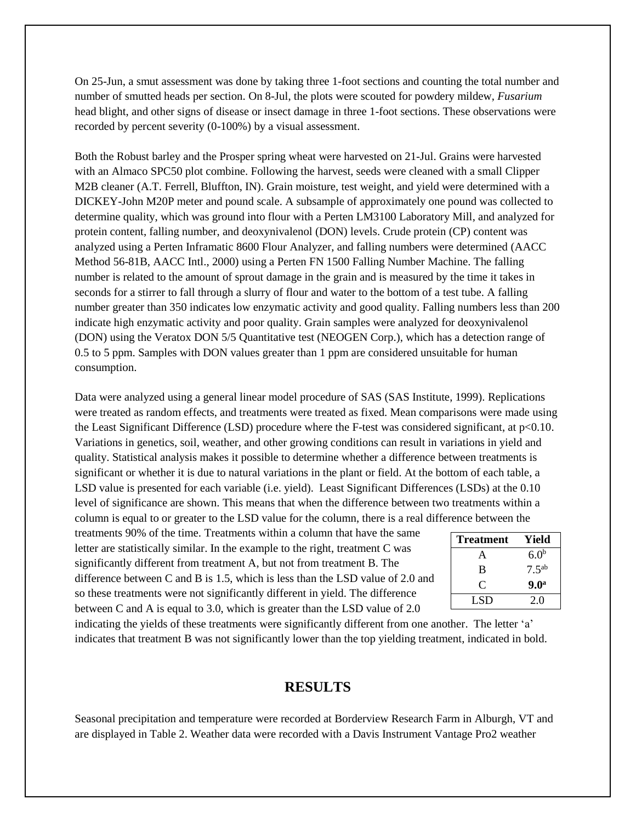On 25-Jun, a smut assessment was done by taking three 1-foot sections and counting the total number and number of smutted heads per section. On 8-Jul, the plots were scouted for powdery mildew, *Fusarium* head blight, and other signs of disease or insect damage in three 1-foot sections. These observations were recorded by percent severity (0-100%) by a visual assessment.

Both the Robust barley and the Prosper spring wheat were harvested on 21-Jul. Grains were harvested with an Almaco SPC50 plot combine. Following the harvest, seeds were cleaned with a small Clipper M2B cleaner (A.T. Ferrell, Bluffton, IN). Grain moisture, test weight, and yield were determined with a DICKEY-John M20P meter and pound scale. A subsample of approximately one pound was collected to determine quality, which was ground into flour with a Perten LM3100 Laboratory Mill, and analyzed for protein content, falling number, and deoxynivalenol (DON) levels. Crude protein (CP) content was analyzed using a Perten Inframatic 8600 Flour Analyzer, and falling numbers were determined (AACC Method 56-81B, AACC Intl., 2000) using a Perten FN 1500 Falling Number Machine. The falling number is related to the amount of sprout damage in the grain and is measured by the time it takes in seconds for a stirrer to fall through a slurry of flour and water to the bottom of a test tube. A falling number greater than 350 indicates low enzymatic activity and good quality. Falling numbers less than 200 indicate high enzymatic activity and poor quality. Grain samples were analyzed for deoxynivalenol (DON) using the Veratox DON 5/5 Quantitative test (NEOGEN Corp.), which has a detection range of 0.5 to 5 ppm. Samples with DON values greater than 1 ppm are considered unsuitable for human consumption.

Data were analyzed using a general linear model procedure of SAS (SAS Institute, 1999). Replications were treated as random effects, and treatments were treated as fixed. Mean comparisons were made using the Least Significant Difference (LSD) procedure where the F-test was considered significant, at p<0.10. Variations in genetics, soil, weather, and other growing conditions can result in variations in yield and quality. Statistical analysis makes it possible to determine whether a difference between treatments is significant or whether it is due to natural variations in the plant or field. At the bottom of each table, a LSD value is presented for each variable (i.e. yield). Least Significant Differences (LSDs) at the 0.10 level of significance are shown. This means that when the difference between two treatments within a column is equal to or greater to the LSD value for the column, there is a real difference between the

treatments 90% of the time. Treatments within a column that have the same letter are statistically similar. In the example to the right, treatment C was significantly different from treatment A, but not from treatment B. The difference between C and B is 1.5, which is less than the LSD value of 2.0 and so these treatments were not significantly different in yield. The difference between C and A is equal to 3.0, which is greater than the LSD value of 2.0

| <b>Treatment</b> | Yield             |
|------------------|-------------------|
| A                | 6.0 <sup>b</sup>  |
| B                | 7.5 <sup>ab</sup> |
| €                | 9.0 <sup>a</sup>  |
| LSD              | 20                |

indicating the yields of these treatments were significantly different from one another. The letter 'a' indicates that treatment B was not significantly lower than the top yielding treatment, indicated in bold.

## **RESULTS**

Seasonal precipitation and temperature were recorded at Borderview Research Farm in Alburgh, VT and are displayed in Table 2. Weather data were recorded with a Davis Instrument Vantage Pro2 weather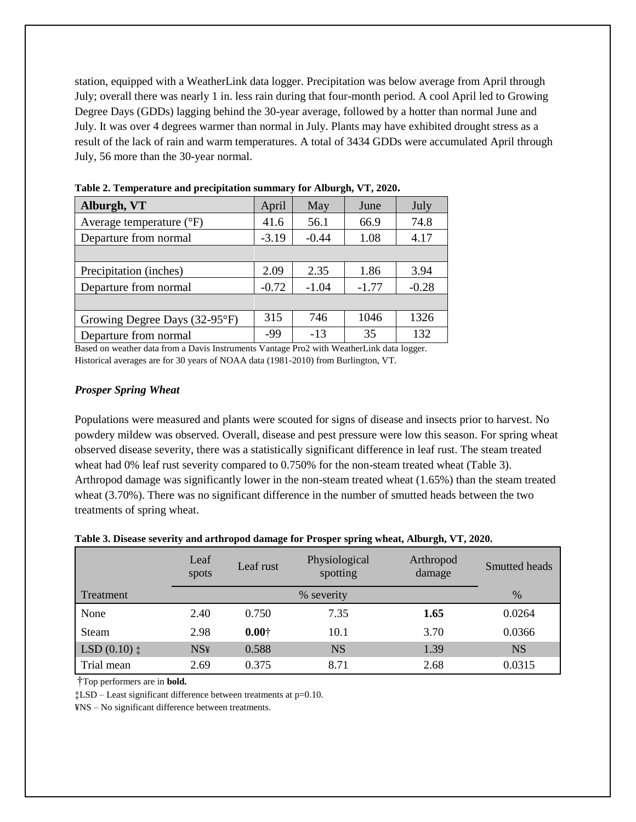station, equipped with a WeatherLink data logger. Precipitation was below average from April through July; overall there was nearly 1 in. less rain during that four-month period. A cool April led to Growing Degree Days (GDDs) lagging behind the 30-year average, followed by a hotter than normal June and July. It was over 4 degrees warmer than normal in July. Plants may have exhibited drought stress as a result of the lack of rain and warm temperatures. A total of 3434 GDDs were accumulated April through July, 56 more than the 30-year normal.

| Alburgh, VT                       | April   | May     | June    | July    |
|-----------------------------------|---------|---------|---------|---------|
| Average temperature $(^{\circ}F)$ | 41.6    | 56.1    | 66.9    | 74.8    |
| Departure from normal             | $-3.19$ | $-0.44$ | 1.08    | 4.17    |
|                                   |         |         |         |         |
| Precipitation (inches)            | 2.09    | 2.35    | 1.86    | 3.94    |
| Departure from normal             | $-0.72$ | $-1.04$ | $-1.77$ | $-0.28$ |
|                                   |         |         |         |         |
| Growing Degree Days (32-95°F)     | 315     | 746     | 1046    | 1326    |
| Departure from normal             | -99     | $-13$   | 35      | 132     |

**Table 2. Temperature and precipitation summary for Alburgh, VT, 2020.**

Based on weather data from a Davis Instruments Vantage Pro2 with WeatherLink data logger. Historical averages are for 30 years of NOAA data (1981-2010) from Burlington, VT.

## *Prosper Spring Wheat*

Populations were measured and plants were scouted for signs of disease and insects prior to harvest. No powdery mildew was observed. Overall, disease and pest pressure were low this season. For spring wheat observed disease severity, there was a statistically significant difference in leaf rust. The steam treated wheat had 0% leaf rust severity compared to 0.750% for the non-steam treated wheat (Table 3). Arthropod damage was significantly lower in the non-steam treated wheat (1.65%) than the steam treated wheat (3.70%). There was no significant difference in the number of smutted heads between the two treatments of spring wheat.

| Table 3. Disease severity and arthropod damage for Prosper spring wheat, Alburgh, VT, 2020. |  |  |  |  |  |
|---------------------------------------------------------------------------------------------|--|--|--|--|--|
|---------------------------------------------------------------------------------------------|--|--|--|--|--|

|                        | Leaf<br>spots | Leaf rust     | Physiological<br>spotting | Arthropod<br>damage | Smutted heads |
|------------------------|---------------|---------------|---------------------------|---------------------|---------------|
| Treatment              |               |               | % severity                |                     | $\%$          |
| None                   | 2.40          | 0.750         | 7.35                      | 1.65                | 0.0264        |
| Steam                  | 2.98          | $0.00\dagger$ | 10.1                      | 3.70                | 0.0366        |
| $LSD(0.10)$ $\ddagger$ | <b>NS¥</b>    | 0.588         | <b>NS</b>                 | 1.39                | <b>NS</b>     |
| Trial mean             | 2.69          | 0.375         | 8.71                      | 2.68                | 0.0315        |

†Top performers are in **bold.**

‡LSD – Least significant difference between treatments at p=0.10.

¥NS – No significant difference between treatments.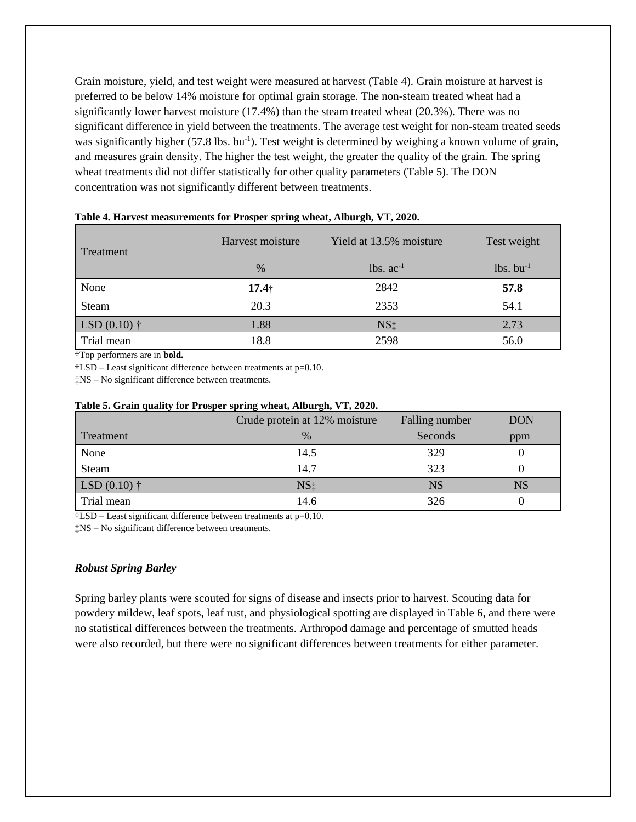Grain moisture, yield, and test weight were measured at harvest (Table 4). Grain moisture at harvest is preferred to be below 14% moisture for optimal grain storage. The non-steam treated wheat had a significantly lower harvest moisture (17.4%) than the steam treated wheat (20.3%). There was no significant difference in yield between the treatments. The average test weight for non-steam treated seeds was significantly higher (57.8 lbs. bu<sup>-1</sup>). Test weight is determined by weighing a known volume of grain, and measures grain density. The higher the test weight, the greater the quality of the grain. The spring wheat treatments did not differ statistically for other quality parameters (Table 5). The DON concentration was not significantly different between treatments.

| Treatment              | Harvest moisture | Yield at 13.5% moisture | Test weight             |
|------------------------|------------------|-------------------------|-------------------------|
|                        | $\%$             | $lbs. ac-1$             | $lbs.$ bu <sup>-1</sup> |
| None                   | $17.4+$          | 2842                    | 57.8                    |
| Steam                  | 20.3             | 2353                    | 54.1                    |
| LSD $(0.10)$ $\dagger$ | 1.88             | NS <sub>‡</sub>         | 2.73                    |
| Trial mean             | 18.8             | 2598                    | 56.0                    |

## **Table 4. Harvest measurements for Prosper spring wheat, Alburgh, VT, 2020.**

†Top performers are in **bold.**

†LSD – Least significant difference between treatments at p=0.10.

‡NS – No significant difference between treatments.

#### **Table 5. Grain quality for Prosper spring wheat, Alburgh, VT, 2020.**

|                | Crude protein at 12% moisture | Falling number | <b>DON</b> |
|----------------|-------------------------------|----------------|------------|
| Treatment      | $\%$                          | Seconds        | ppm        |
| None           | 14.5                          | 329            |            |
| Steam          | 14.7                          | 323            |            |
| LSD $(0.10)$ † | NS <sub>‡</sub>               | NS             | NS         |
| Trial mean     | 14.6                          | 326            |            |

†LSD – Least significant difference between treatments at p=0.10.

‡NS – No significant difference between treatments.

#### *Robust Spring Barley*

Spring barley plants were scouted for signs of disease and insects prior to harvest. Scouting data for powdery mildew, leaf spots, leaf rust, and physiological spotting are displayed in Table 6, and there were no statistical differences between the treatments. Arthropod damage and percentage of smutted heads were also recorded, but there were no significant differences between treatments for either parameter.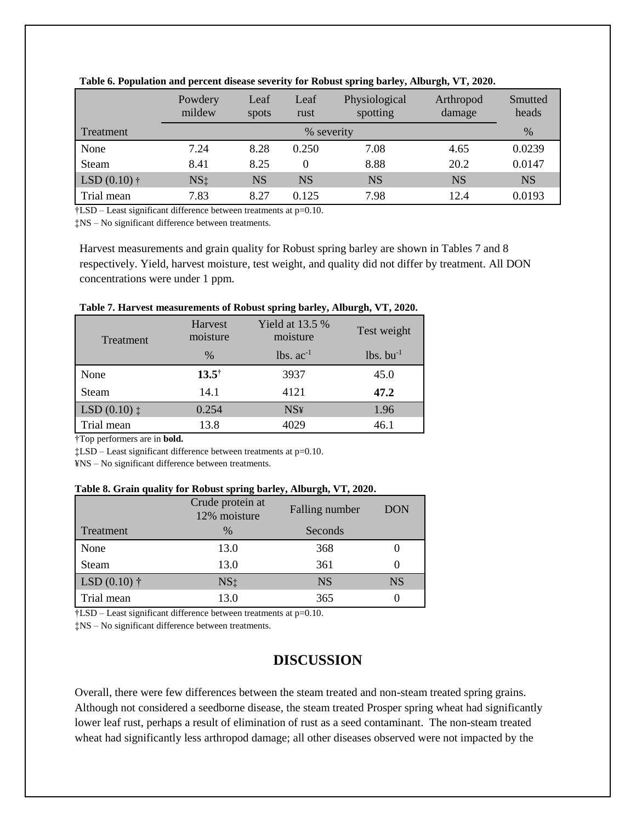|                | Powdery<br>mildew | Leaf<br>spots | Leaf<br>rust | Physiological<br>spotting | Arthropod<br>damage | Smutted<br>heads |
|----------------|-------------------|---------------|--------------|---------------------------|---------------------|------------------|
| Treatment      |                   |               | % severity   |                           |                     | $\%$             |
| None           | 7.24              | 8.28          | 0.250        | 7.08                      | 4.65                | 0.0239           |
| Steam          | 8.41              | 8.25          | 0            | 8.88                      | 20.2                | 0.0147           |
| LSD $(0.10)$ † | NS <sub>‡</sub>   | NS            | NS           | <b>NS</b>                 | <b>NS</b>           | NS               |
| Trial mean     | 7.83              | 8.27          | 0.125        | 7.98                      | 12.4                | 0.0193           |

|  | Table 6. Population and percent disease severity for Robust spring barley, Alburgh, VT, 2020. |  |  |  |
|--|-----------------------------------------------------------------------------------------------|--|--|--|
|  |                                                                                               |  |  |  |

†LSD – Least significant difference between treatments at p=0.10.

‡NS – No significant difference between treatments.

Harvest measurements and grain quality for Robust spring barley are shown in Tables 7 and 8 respectively. Yield, harvest moisture, test weight, and quality did not differ by treatment. All DON concentrations were under 1 ppm.

| Table 7. Har vest incasul ements of Kobust spring barier, Alburgii, VI, 2020. |                     |                               |                         |  |  |
|-------------------------------------------------------------------------------|---------------------|-------------------------------|-------------------------|--|--|
| Treatment                                                                     | Harvest<br>moisture | Yield at $13.5\%$<br>moisture | Test weight             |  |  |
|                                                                               | $\frac{0}{0}$       | $lbs. ac-1$                   | $lbs.$ bu <sup>-1</sup> |  |  |
| None                                                                          | $13.5^{\dagger}$    | 3937                          | 45.0                    |  |  |
| Steam                                                                         | 14.1                | 4121                          | 47.2                    |  |  |
| $LSD(0.10)$ ‡                                                                 | 0.254               | <b>NS¥</b>                    | 1.96                    |  |  |
| Trial mean                                                                    | 13.8                | 4029                          | 46.1                    |  |  |

#### **Table 7. Harvest measurements of Robust spring barley, Alburgh, VT, 2020.**

†Top performers are in **bold.**

‡LSD – Least significant difference between treatments at p=0.10.

¥NS – No significant difference between treatments.

### **Table 8. Grain quality for Robust spring barley, Alburgh, VT, 2020.**

|                        | Crude protein at<br>12% moisture | Falling number | <b>DON</b> |
|------------------------|----------------------------------|----------------|------------|
| Treatment              | $\%$                             | Seconds        |            |
| None                   | 13.0                             | 368            |            |
| Steam                  | 13.0                             | 361            |            |
| LSD $(0.10)$ $\dagger$ | NS <sub>1</sub>                  | <b>NS</b>      | <b>NS</b>  |
| Trial mean             | 13.0                             | 365            |            |

†LSD – Least significant difference between treatments at p=0.10.

‡NS – No significant difference between treatments.

# **DISCUSSION**

Overall, there were few differences between the steam treated and non-steam treated spring grains. Although not considered a seedborne disease, the steam treated Prosper spring wheat had significantly lower leaf rust, perhaps a result of elimination of rust as a seed contaminant. The non-steam treated wheat had significantly less arthropod damage; all other diseases observed were not impacted by the